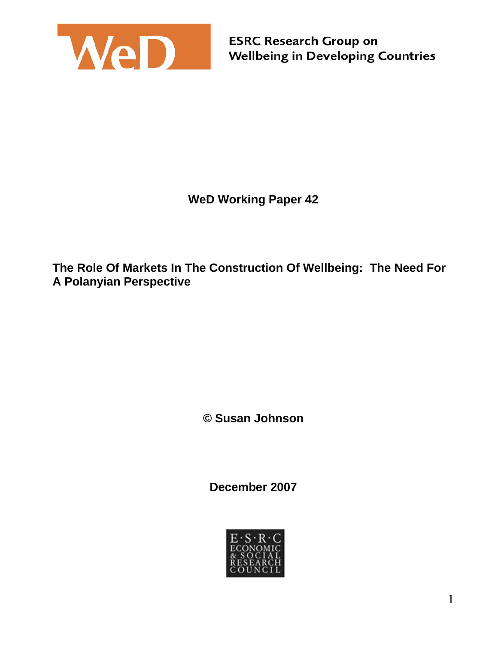

**WeD Working Paper 42** 

**The Role Of Markets In The Construction Of Wellbeing: The Need For A Polanyian Perspective** 

**© Susan Johnson**

**December 2007** 

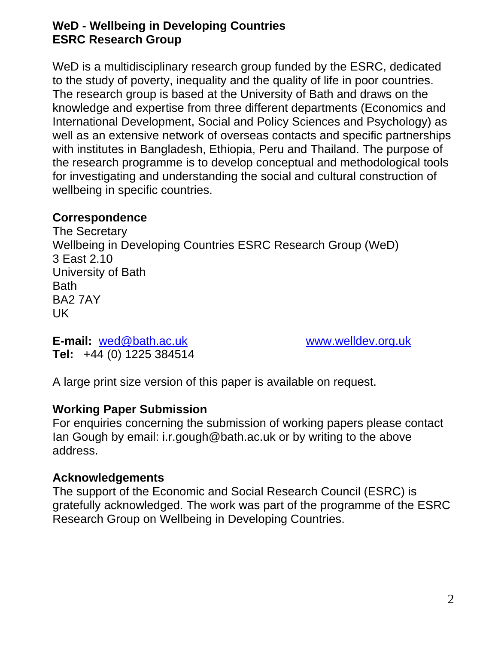#### **WeD - Wellbeing in Developing Countries ESRC Research Group**

WeD is a multidisciplinary research group funded by the ESRC, dedicated to the study of poverty, inequality and the quality of life in poor countries. The research group is based at the University of Bath and draws on the knowledge and expertise from three different departments (Economics and International Development, Social and Policy Sciences and Psychology) as well as an extensive network of overseas contacts and specific partnerships with institutes in Bangladesh, Ethiopia, Peru and Thailand. The purpose of the research programme is to develop conceptual and methodological tools for investigating and understanding the social and cultural construction of wellbeing in specific countries.

#### **Correspondence**

The Secretary Wellbeing in Developing Countries ESRC Research Group (WeD) 3 East 2.10 University of Bath Bath BA2 7AY UK

**E-mail:** wed@bath.ac.uk www.welldev.org.uk **Tel:** +44 (0) 1225 384514

A large print size version of this paper is available on request.

#### **Working Paper Submission**

For enquiries concerning the submission of working papers please contact Ian Gough by email: i.r.gough@bath.ac.uk or by writing to the above address.

#### **Acknowledgements**

The support of the Economic and Social Research Council (ESRC) is gratefully acknowledged. The work was part of the programme of the ESRC Research Group on Wellbeing in Developing Countries.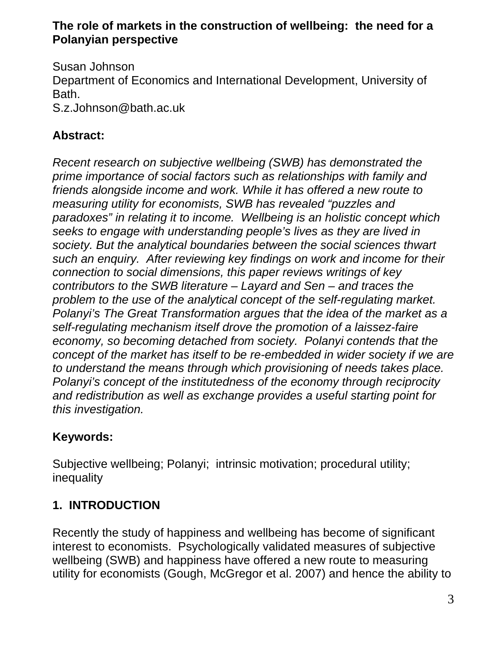#### **The role of markets in the construction of wellbeing: the need for a Polanyian perspective**

Susan Johnson Department of Economics and International Development, University of Bath. S.z.Johnson@bath.ac.uk

## **Abstract:**

*Recent research on subjective wellbeing (SWB) has demonstrated the prime importance of social factors such as relationships with family and friends alongside income and work. While it has offered a new route to measuring utility for economists, SWB has revealed "puzzles and paradoxes" in relating it to income. Wellbeing is an holistic concept which seeks to engage with understanding people's lives as they are lived in society. But the analytical boundaries between the social sciences thwart such an enquiry. After reviewing key findings on work and income for their connection to social dimensions, this paper reviews writings of key contributors to the SWB literature – Layard and Sen – and traces the problem to the use of the analytical concept of the self-regulating market. Polanyi's The Great Transformation argues that the idea of the market as a self-regulating mechanism itself drove the promotion of a laissez-faire economy, so becoming detached from society. Polanyi contends that the concept of the market has itself to be re-embedded in wider society if we are to understand the means through which provisioning of needs takes place. Polanyi's concept of the institutedness of the economy through reciprocity and redistribution as well as exchange provides a useful starting point for this investigation.* 

## **Keywords:**

Subjective wellbeing; Polanyi; intrinsic motivation; procedural utility; inequality

# **1. INTRODUCTION**

Recently the study of happiness and wellbeing has become of significant interest to economists. Psychologically validated measures of subjective wellbeing (SWB) and happiness have offered a new route to measuring utility for economists (Gough, McGregor et al. 2007) and hence the ability to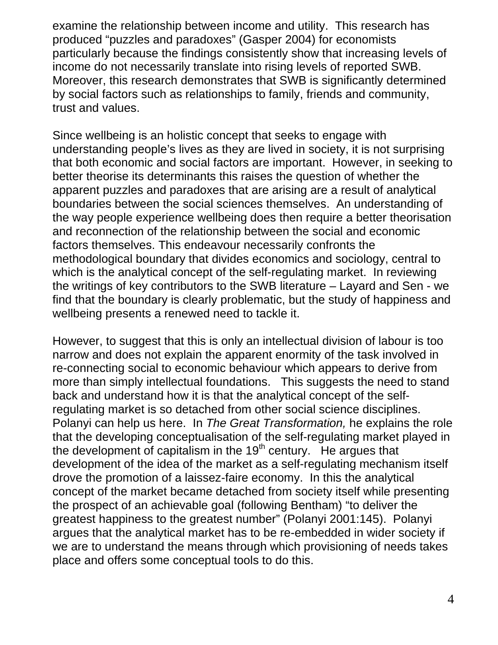examine the relationship between income and utility. This research has produced "puzzles and paradoxes" (Gasper 2004) for economists particularly because the findings consistently show that increasing levels of income do not necessarily translate into rising levels of reported SWB. Moreover, this research demonstrates that SWB is significantly determined by social factors such as relationships to family, friends and community, trust and values.

Since wellbeing is an holistic concept that seeks to engage with understanding people's lives as they are lived in society, it is not surprising that both economic and social factors are important. However, in seeking to better theorise its determinants this raises the question of whether the apparent puzzles and paradoxes that are arising are a result of analytical boundaries between the social sciences themselves. An understanding of the way people experience wellbeing does then require a better theorisation and reconnection of the relationship between the social and economic factors themselves. This endeavour necessarily confronts the methodological boundary that divides economics and sociology, central to which is the analytical concept of the self-regulating market. In reviewing the writings of key contributors to the SWB literature – Layard and Sen - we find that the boundary is clearly problematic, but the study of happiness and wellbeing presents a renewed need to tackle it.

However, to suggest that this is only an intellectual division of labour is too narrow and does not explain the apparent enormity of the task involved in re-connecting social to economic behaviour which appears to derive from more than simply intellectual foundations. This suggests the need to stand back and understand how it is that the analytical concept of the selfregulating market is so detached from other social science disciplines. Polanyi can help us here. In *The Great Transformation,* he explains the role that the developing conceptualisation of the self-regulating market played in the development of capitalism in the  $19<sup>th</sup>$  century. He argues that development of the idea of the market as a self-regulating mechanism itself drove the promotion of a laissez-faire economy. In this the analytical concept of the market became detached from society itself while presenting the prospect of an achievable goal (following Bentham) "to deliver the greatest happiness to the greatest number" (Polanyi 2001:145). Polanyi argues that the analytical market has to be re-embedded in wider society if we are to understand the means through which provisioning of needs takes place and offers some conceptual tools to do this.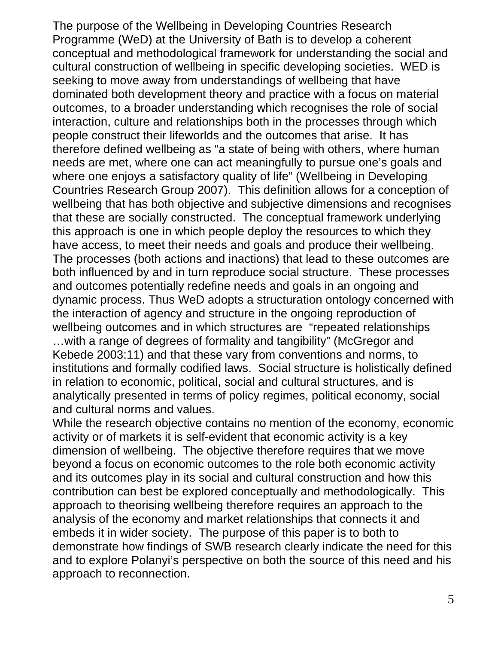The purpose of the Wellbeing in Developing Countries Research Programme (WeD) at the University of Bath is to develop a coherent conceptual and methodological framework for understanding the social and cultural construction of wellbeing in specific developing societies. WED is seeking to move away from understandings of wellbeing that have dominated both development theory and practice with a focus on material outcomes, to a broader understanding which recognises the role of social interaction, culture and relationships both in the processes through which people construct their lifeworlds and the outcomes that arise. It has therefore defined wellbeing as "a state of being with others, where human needs are met, where one can act meaningfully to pursue one's goals and where one enjoys a satisfactory quality of life" (Wellbeing in Developing Countries Research Group 2007). This definition allows for a conception of wellbeing that has both objective and subjective dimensions and recognises that these are socially constructed. The conceptual framework underlying this approach is one in which people deploy the resources to which they have access, to meet their needs and goals and produce their wellbeing. The processes (both actions and inactions) that lead to these outcomes are both influenced by and in turn reproduce social structure. These processes and outcomes potentially redefine needs and goals in an ongoing and dynamic process. Thus WeD adopts a structuration ontology concerned with the interaction of agency and structure in the ongoing reproduction of wellbeing outcomes and in which structures are "repeated relationships …with a range of degrees of formality and tangibility" (McGregor and Kebede 2003:11) and that these vary from conventions and norms, to institutions and formally codified laws. Social structure is holistically defined in relation to economic, political, social and cultural structures, and is analytically presented in terms of policy regimes, political economy, social and cultural norms and values.

While the research objective contains no mention of the economy, economic activity or of markets it is self-evident that economic activity is a key dimension of wellbeing. The objective therefore requires that we move beyond a focus on economic outcomes to the role both economic activity and its outcomes play in its social and cultural construction and how this contribution can best be explored conceptually and methodologically. This approach to theorising wellbeing therefore requires an approach to the analysis of the economy and market relationships that connects it and embeds it in wider society. The purpose of this paper is to both to demonstrate how findings of SWB research clearly indicate the need for this and to explore Polanyi's perspective on both the source of this need and his approach to reconnection.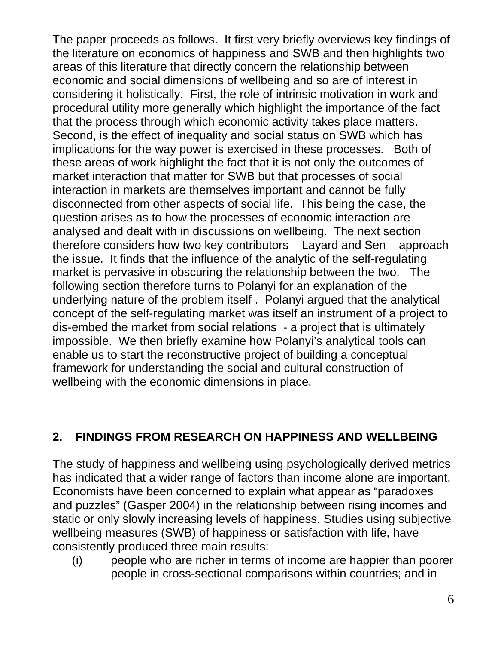The paper proceeds as follows. It first very briefly overviews key findings of the literature on economics of happiness and SWB and then highlights two areas of this literature that directly concern the relationship between economic and social dimensions of wellbeing and so are of interest in considering it holistically. First, the role of intrinsic motivation in work and procedural utility more generally which highlight the importance of the fact that the process through which economic activity takes place matters. Second, is the effect of inequality and social status on SWB which has implications for the way power is exercised in these processes. Both of these areas of work highlight the fact that it is not only the outcomes of market interaction that matter for SWB but that processes of social interaction in markets are themselves important and cannot be fully disconnected from other aspects of social life. This being the case, the question arises as to how the processes of economic interaction are analysed and dealt with in discussions on wellbeing. The next section therefore considers how two key contributors – Layard and Sen – approach the issue. It finds that the influence of the analytic of the self-regulating market is pervasive in obscuring the relationship between the two. The following section therefore turns to Polanyi for an explanation of the underlying nature of the problem itself . Polanyi argued that the analytical concept of the self-regulating market was itself an instrument of a project to dis-embed the market from social relations - a project that is ultimately impossible. We then briefly examine how Polanyi's analytical tools can enable us to start the reconstructive project of building a conceptual framework for understanding the social and cultural construction of wellbeing with the economic dimensions in place.

## **2. FINDINGS FROM RESEARCH ON HAPPINESS AND WELLBEING**

The study of happiness and wellbeing using psychologically derived metrics has indicated that a wider range of factors than income alone are important. Economists have been concerned to explain what appear as "paradoxes and puzzles" (Gasper 2004) in the relationship between rising incomes and static or only slowly increasing levels of happiness. Studies using subjective wellbeing measures (SWB) of happiness or satisfaction with life, have consistently produced three main results:

(i) people who are richer in terms of income are happier than poorer people in cross-sectional comparisons within countries; and in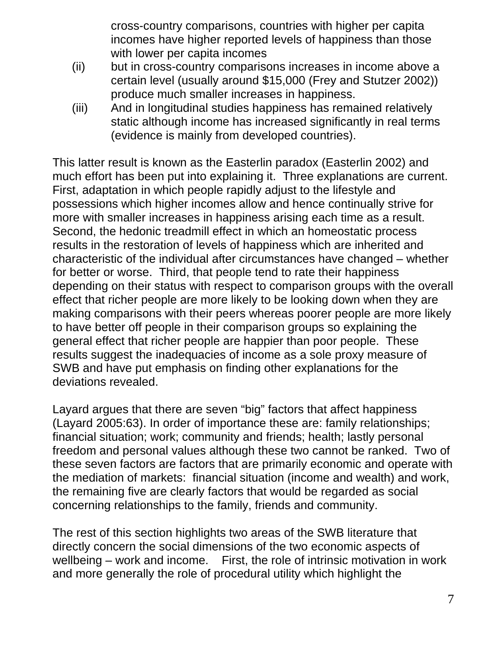cross-country comparisons, countries with higher per capita incomes have higher reported levels of happiness than those with lower per capita incomes

- (ii) but in cross-country comparisons increases in income above a certain level (usually around \$15,000 (Frey and Stutzer 2002)) produce much smaller increases in happiness.
- (iii) And in longitudinal studies happiness has remained relatively static although income has increased significantly in real terms (evidence is mainly from developed countries).

This latter result is known as the Easterlin paradox (Easterlin 2002) and much effort has been put into explaining it. Three explanations are current. First, adaptation in which people rapidly adjust to the lifestyle and possessions which higher incomes allow and hence continually strive for more with smaller increases in happiness arising each time as a result. Second, the hedonic treadmill effect in which an homeostatic process results in the restoration of levels of happiness which are inherited and characteristic of the individual after circumstances have changed – whether for better or worse. Third, that people tend to rate their happiness depending on their status with respect to comparison groups with the overall effect that richer people are more likely to be looking down when they are making comparisons with their peers whereas poorer people are more likely to have better off people in their comparison groups so explaining the general effect that richer people are happier than poor people. These results suggest the inadequacies of income as a sole proxy measure of SWB and have put emphasis on finding other explanations for the deviations revealed.

Layard argues that there are seven "big" factors that affect happiness (Layard 2005:63). In order of importance these are: family relationships; financial situation; work; community and friends; health; lastly personal freedom and personal values although these two cannot be ranked. Two of these seven factors are factors that are primarily economic and operate with the mediation of markets: financial situation (income and wealth) and work, the remaining five are clearly factors that would be regarded as social concerning relationships to the family, friends and community.

The rest of this section highlights two areas of the SWB literature that directly concern the social dimensions of the two economic aspects of wellbeing – work and income. First, the role of intrinsic motivation in work and more generally the role of procedural utility which highlight the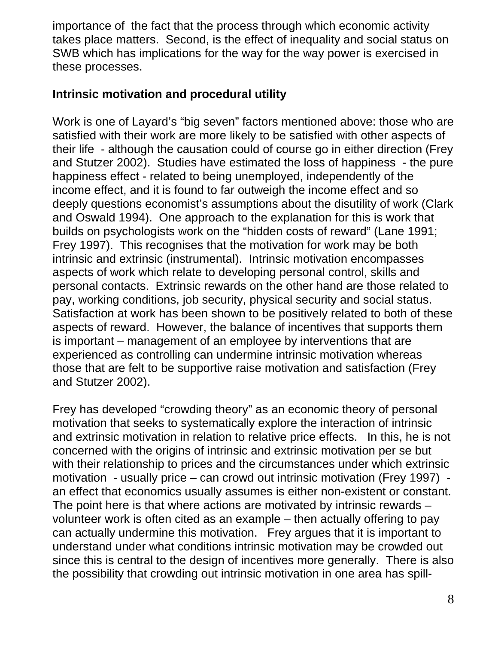importance of the fact that the process through which economic activity takes place matters. Second, is the effect of inequality and social status on SWB which has implications for the way for the way power is exercised in these processes.

#### **Intrinsic motivation and procedural utility**

Work is one of Layard's "big seven" factors mentioned above: those who are satisfied with their work are more likely to be satisfied with other aspects of their life - although the causation could of course go in either direction (Frey and Stutzer 2002). Studies have estimated the loss of happiness - the pure happiness effect - related to being unemployed, independently of the income effect, and it is found to far outweigh the income effect and so deeply questions economist's assumptions about the disutility of work (Clark and Oswald 1994). One approach to the explanation for this is work that builds on psychologists work on the "hidden costs of reward" (Lane 1991; Frey 1997). This recognises that the motivation for work may be both intrinsic and extrinsic (instrumental). Intrinsic motivation encompasses aspects of work which relate to developing personal control, skills and personal contacts. Extrinsic rewards on the other hand are those related to pay, working conditions, job security, physical security and social status. Satisfaction at work has been shown to be positively related to both of these aspects of reward. However, the balance of incentives that supports them is important – management of an employee by interventions that are experienced as controlling can undermine intrinsic motivation whereas those that are felt to be supportive raise motivation and satisfaction (Frey and Stutzer 2002).

Frey has developed "crowding theory" as an economic theory of personal motivation that seeks to systematically explore the interaction of intrinsic and extrinsic motivation in relation to relative price effects. In this, he is not concerned with the origins of intrinsic and extrinsic motivation per se but with their relationship to prices and the circumstances under which extrinsic motivation - usually price – can crowd out intrinsic motivation (Frey 1997) an effect that economics usually assumes is either non-existent or constant. The point here is that where actions are motivated by intrinsic rewards – volunteer work is often cited as an example – then actually offering to pay can actually undermine this motivation. Frey argues that it is important to understand under what conditions intrinsic motivation may be crowded out since this is central to the design of incentives more generally. There is also the possibility that crowding out intrinsic motivation in one area has spill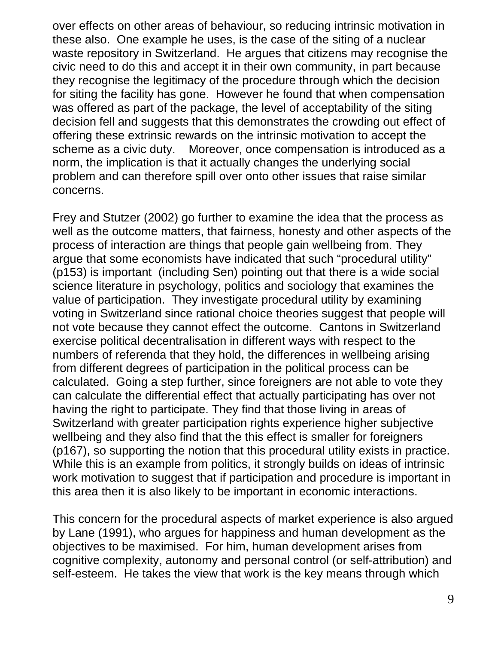over effects on other areas of behaviour, so reducing intrinsic motivation in these also. One example he uses, is the case of the siting of a nuclear waste repository in Switzerland. He argues that citizens may recognise the civic need to do this and accept it in their own community, in part because they recognise the legitimacy of the procedure through which the decision for siting the facility has gone. However he found that when compensation was offered as part of the package, the level of acceptability of the siting decision fell and suggests that this demonstrates the crowding out effect of offering these extrinsic rewards on the intrinsic motivation to accept the scheme as a civic duty. Moreover, once compensation is introduced as a norm, the implication is that it actually changes the underlying social problem and can therefore spill over onto other issues that raise similar concerns.

Frey and Stutzer (2002) go further to examine the idea that the process as well as the outcome matters, that fairness, honesty and other aspects of the process of interaction are things that people gain wellbeing from. They argue that some economists have indicated that such "procedural utility" (p153) is important (including Sen) pointing out that there is a wide social science literature in psychology, politics and sociology that examines the value of participation. They investigate procedural utility by examining voting in Switzerland since rational choice theories suggest that people will not vote because they cannot effect the outcome. Cantons in Switzerland exercise political decentralisation in different ways with respect to the numbers of referenda that they hold, the differences in wellbeing arising from different degrees of participation in the political process can be calculated. Going a step further, since foreigners are not able to vote they can calculate the differential effect that actually participating has over not having the right to participate. They find that those living in areas of Switzerland with greater participation rights experience higher subjective wellbeing and they also find that the this effect is smaller for foreigners (p167), so supporting the notion that this procedural utility exists in practice. While this is an example from politics, it strongly builds on ideas of intrinsic work motivation to suggest that if participation and procedure is important in this area then it is also likely to be important in economic interactions.

This concern for the procedural aspects of market experience is also argued by Lane (1991), who argues for happiness and human development as the objectives to be maximised. For him, human development arises from cognitive complexity, autonomy and personal control (or self-attribution) and self-esteem. He takes the view that work is the key means through which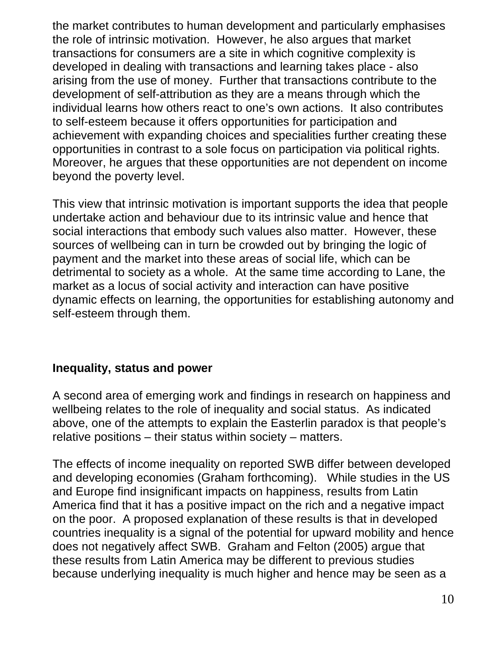the market contributes to human development and particularly emphasises the role of intrinsic motivation. However, he also argues that market transactions for consumers are a site in which cognitive complexity is developed in dealing with transactions and learning takes place - also arising from the use of money. Further that transactions contribute to the development of self-attribution as they are a means through which the individual learns how others react to one's own actions. It also contributes to self-esteem because it offers opportunities for participation and achievement with expanding choices and specialities further creating these opportunities in contrast to a sole focus on participation via political rights. Moreover, he argues that these opportunities are not dependent on income beyond the poverty level.

This view that intrinsic motivation is important supports the idea that people undertake action and behaviour due to its intrinsic value and hence that social interactions that embody such values also matter. However, these sources of wellbeing can in turn be crowded out by bringing the logic of payment and the market into these areas of social life, which can be detrimental to society as a whole. At the same time according to Lane, the market as a locus of social activity and interaction can have positive dynamic effects on learning, the opportunities for establishing autonomy and self-esteem through them.

#### **Inequality, status and power**

A second area of emerging work and findings in research on happiness and wellbeing relates to the role of inequality and social status. As indicated above, one of the attempts to explain the Easterlin paradox is that people's relative positions – their status within society – matters.

The effects of income inequality on reported SWB differ between developed and developing economies (Graham forthcoming). While studies in the US and Europe find insignificant impacts on happiness, results from Latin America find that it has a positive impact on the rich and a negative impact on the poor. A proposed explanation of these results is that in developed countries inequality is a signal of the potential for upward mobility and hence does not negatively affect SWB. Graham and Felton (2005) argue that these results from Latin America may be different to previous studies because underlying inequality is much higher and hence may be seen as a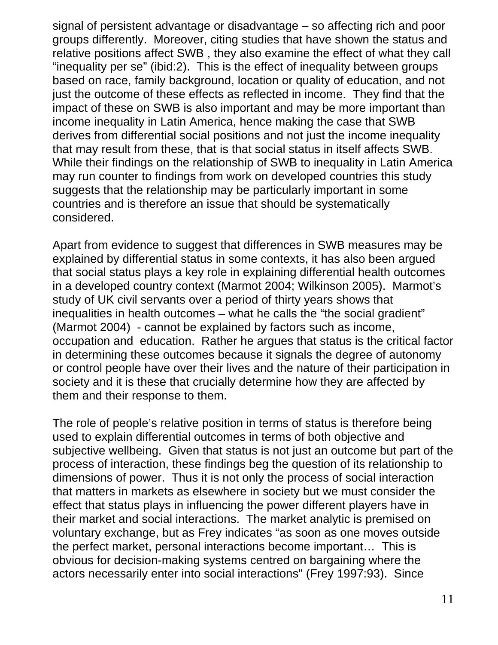signal of persistent advantage or disadvantage – so affecting rich and poor groups differently. Moreover, citing studies that have shown the status and relative positions affect SWB , they also examine the effect of what they call "inequality per se" (ibid:2). This is the effect of inequality between groups based on race, family background, location or quality of education, and not just the outcome of these effects as reflected in income. They find that the impact of these on SWB is also important and may be more important than income inequality in Latin America, hence making the case that SWB derives from differential social positions and not just the income inequality that may result from these, that is that social status in itself affects SWB. While their findings on the relationship of SWB to inequality in Latin America may run counter to findings from work on developed countries this study suggests that the relationship may be particularly important in some countries and is therefore an issue that should be systematically considered.

Apart from evidence to suggest that differences in SWB measures may be explained by differential status in some contexts, it has also been argued that social status plays a key role in explaining differential health outcomes in a developed country context (Marmot 2004; Wilkinson 2005). Marmot's study of UK civil servants over a period of thirty years shows that inequalities in health outcomes – what he calls the "the social gradient" (Marmot 2004) - cannot be explained by factors such as income, occupation and education. Rather he argues that status is the critical factor in determining these outcomes because it signals the degree of autonomy or control people have over their lives and the nature of their participation in society and it is these that crucially determine how they are affected by them and their response to them.

The role of people's relative position in terms of status is therefore being used to explain differential outcomes in terms of both objective and subjective wellbeing. Given that status is not just an outcome but part of the process of interaction, these findings beg the question of its relationship to dimensions of power. Thus it is not only the process of social interaction that matters in markets as elsewhere in society but we must consider the effect that status plays in influencing the power different players have in their market and social interactions. The market analytic is premised on voluntary exchange, but as Frey indicates "as soon as one moves outside the perfect market, personal interactions become important… This is obvious for decision-making systems centred on bargaining where the actors necessarily enter into social interactions" (Frey 1997:93). Since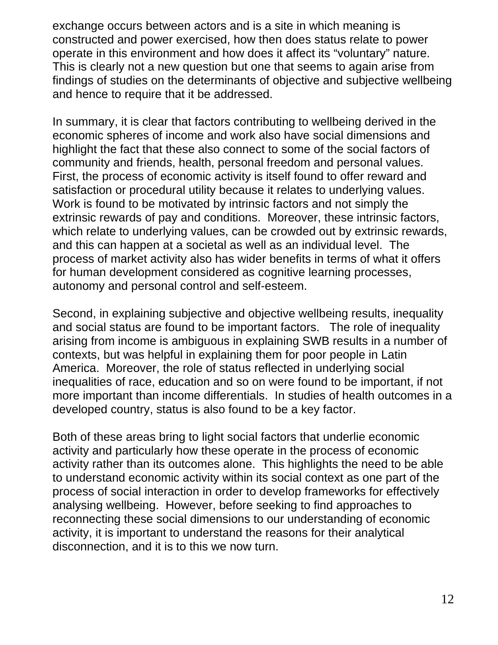exchange occurs between actors and is a site in which meaning is constructed and power exercised, how then does status relate to power operate in this environment and how does it affect its "voluntary" nature. This is clearly not a new question but one that seems to again arise from findings of studies on the determinants of objective and subjective wellbeing and hence to require that it be addressed.

In summary, it is clear that factors contributing to wellbeing derived in the economic spheres of income and work also have social dimensions and highlight the fact that these also connect to some of the social factors of community and friends, health, personal freedom and personal values. First, the process of economic activity is itself found to offer reward and satisfaction or procedural utility because it relates to underlying values. Work is found to be motivated by intrinsic factors and not simply the extrinsic rewards of pay and conditions. Moreover, these intrinsic factors, which relate to underlying values, can be crowded out by extrinsic rewards, and this can happen at a societal as well as an individual level. The process of market activity also has wider benefits in terms of what it offers for human development considered as cognitive learning processes, autonomy and personal control and self-esteem.

Second, in explaining subjective and objective wellbeing results, inequality and social status are found to be important factors. The role of inequality arising from income is ambiguous in explaining SWB results in a number of contexts, but was helpful in explaining them for poor people in Latin America. Moreover, the role of status reflected in underlying social inequalities of race, education and so on were found to be important, if not more important than income differentials. In studies of health outcomes in a developed country, status is also found to be a key factor.

Both of these areas bring to light social factors that underlie economic activity and particularly how these operate in the process of economic activity rather than its outcomes alone. This highlights the need to be able to understand economic activity within its social context as one part of the process of social interaction in order to develop frameworks for effectively analysing wellbeing. However, before seeking to find approaches to reconnecting these social dimensions to our understanding of economic activity, it is important to understand the reasons for their analytical disconnection, and it is to this we now turn.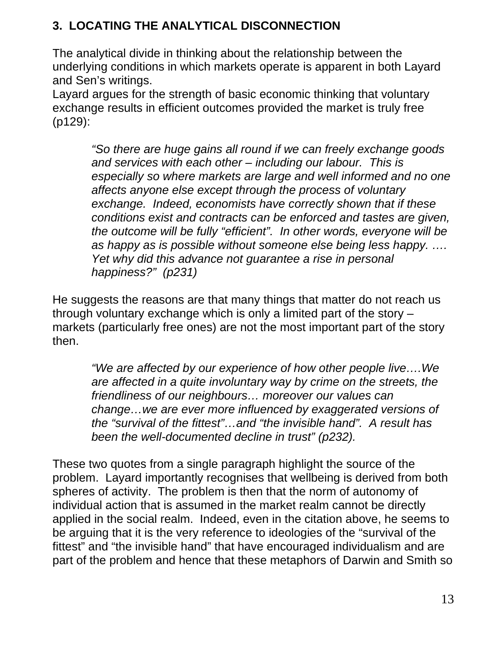# **3. LOCATING THE ANALYTICAL DISCONNECTION**

The analytical divide in thinking about the relationship between the underlying conditions in which markets operate is apparent in both Layard and Sen's writings.

Layard argues for the strength of basic economic thinking that voluntary exchange results in efficient outcomes provided the market is truly free (p129):

> *"So there are huge gains all round if we can freely exchange goods and services with each other – including our labour. This is especially so where markets are large and well informed and no one affects anyone else except through the process of voluntary exchange. Indeed, economists have correctly shown that if these conditions exist and contracts can be enforced and tastes are given, the outcome will be fully "efficient". In other words, everyone will be as happy as is possible without someone else being less happy. …. Yet why did this advance not guarantee a rise in personal happiness?" (p231)*

He suggests the reasons are that many things that matter do not reach us through voluntary exchange which is only a limited part of the story – markets (particularly free ones) are not the most important part of the story then.

*"We are affected by our experience of how other people live….We are affected in a quite involuntary way by crime on the streets, the friendliness of our neighbours… moreover our values can change…we are ever more influenced by exaggerated versions of the "survival of the fittest"…and "the invisible hand". A result has been the well-documented decline in trust" (p232).* 

These two quotes from a single paragraph highlight the source of the problem. Layard importantly recognises that wellbeing is derived from both spheres of activity. The problem is then that the norm of autonomy of individual action that is assumed in the market realm cannot be directly applied in the social realm. Indeed, even in the citation above, he seems to be arguing that it is the very reference to ideologies of the "survival of the fittest" and "the invisible hand" that have encouraged individualism and are part of the problem and hence that these metaphors of Darwin and Smith so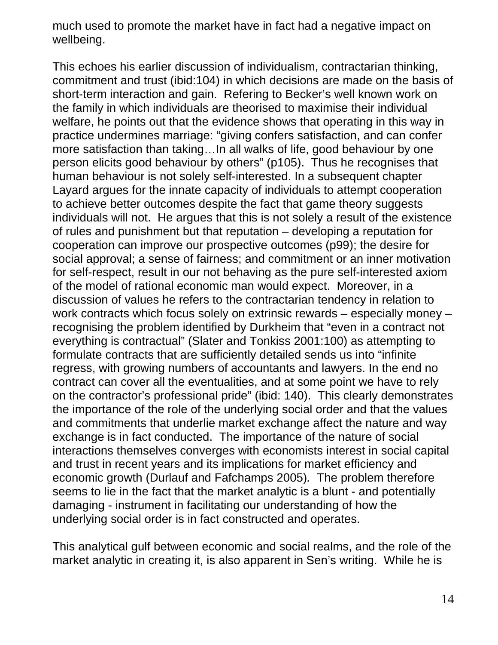much used to promote the market have in fact had a negative impact on wellbeing.

This echoes his earlier discussion of individualism, contractarian thinking, commitment and trust (ibid:104) in which decisions are made on the basis of short-term interaction and gain. Refering to Becker's well known work on the family in which individuals are theorised to maximise their individual welfare, he points out that the evidence shows that operating in this way in practice undermines marriage: "giving confers satisfaction, and can confer more satisfaction than taking…In all walks of life, good behaviour by one person elicits good behaviour by others" (p105). Thus he recognises that human behaviour is not solely self-interested. In a subsequent chapter Layard argues for the innate capacity of individuals to attempt cooperation to achieve better outcomes despite the fact that game theory suggests individuals will not. He argues that this is not solely a result of the existence of rules and punishment but that reputation – developing a reputation for cooperation can improve our prospective outcomes (p99); the desire for social approval; a sense of fairness; and commitment or an inner motivation for self-respect, result in our not behaving as the pure self-interested axiom of the model of rational economic man would expect.Moreover, in a discussion of values he refers to the contractarian tendency in relation to work contracts which focus solely on extrinsic rewards – especially money – recognising the problem identified by Durkheim that "even in a contract not everything is contractual" (Slater and Tonkiss 2001:100) as attempting to formulate contracts that are sufficiently detailed sends us into "infinite regress, with growing numbers of accountants and lawyers. In the end no contract can cover all the eventualities, and at some point we have to rely on the contractor's professional pride" (ibid: 140). This clearly demonstrates the importance of the role of the underlying social order and that the values and commitments that underlie market exchange affect the nature and way exchange is in fact conducted. The importance of the nature of social interactions themselves converges with economists interest in social capital and trust in recent years and its implications for market efficiency and economic growth (Durlauf and Fafchamps 2005)*.* The problem therefore seems to lie in the fact that the market analytic is a blunt - and potentially damaging - instrument in facilitating our understanding of how the underlying social order is in fact constructed and operates.

This analytical gulf between economic and social realms, and the role of the market analytic in creating it, is also apparent in Sen's writing. While he is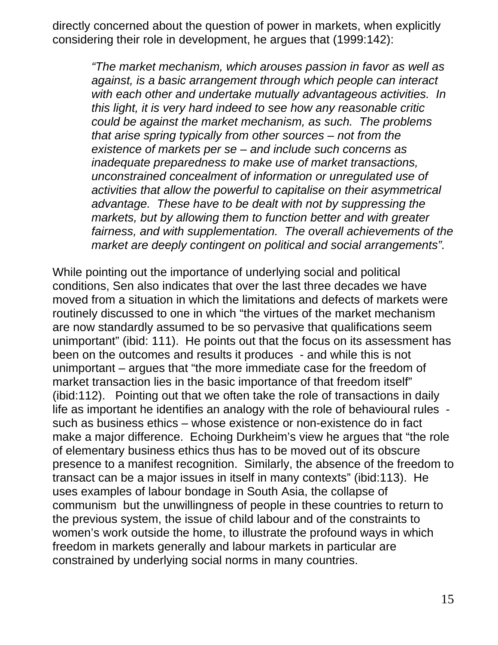directly concerned about the question of power in markets, when explicitly considering their role in development, he argues that (1999:142):

*"The market mechanism, which arouses passion in favor as well as against, is a basic arrangement through which people can interact with each other and undertake mutually advantageous activities. In this light, it is very hard indeed to see how any reasonable critic could be against the market mechanism, as such. The problems that arise spring typically from other sources – not from the existence of markets per se – and include such concerns as inadequate preparedness to make use of market transactions, unconstrained concealment of information or unregulated use of activities that allow the powerful to capitalise on their asymmetrical advantage. These have to be dealt with not by suppressing the markets, but by allowing them to function better and with greater fairness, and with supplementation. The overall achievements of the market are deeply contingent on political and social arrangements".* 

While pointing out the importance of underlying social and political conditions, Sen also indicates that over the last three decades we have moved from a situation in which the limitations and defects of markets were routinely discussed to one in which "the virtues of the market mechanism are now standardly assumed to be so pervasive that qualifications seem unimportant" (ibid: 111). He points out that the focus on its assessment has been on the outcomes and results it produces - and while this is not unimportant – argues that "the more immediate case for the freedom of market transaction lies in the basic importance of that freedom itself" (ibid:112). Pointing out that we often take the role of transactions in daily life as important he identifies an analogy with the role of behavioural rules such as business ethics – whose existence or non-existence do in fact make a major difference. Echoing Durkheim's view he argues that "the role of elementary business ethics thus has to be moved out of its obscure presence to a manifest recognition. Similarly, the absence of the freedom to transact can be a major issues in itself in many contexts" (ibid:113). He uses examples of labour bondage in South Asia, the collapse of communism but the unwillingness of people in these countries to return to the previous system, the issue of child labour and of the constraints to women's work outside the home, to illustrate the profound ways in which freedom in markets generally and labour markets in particular are constrained by underlying social norms in many countries.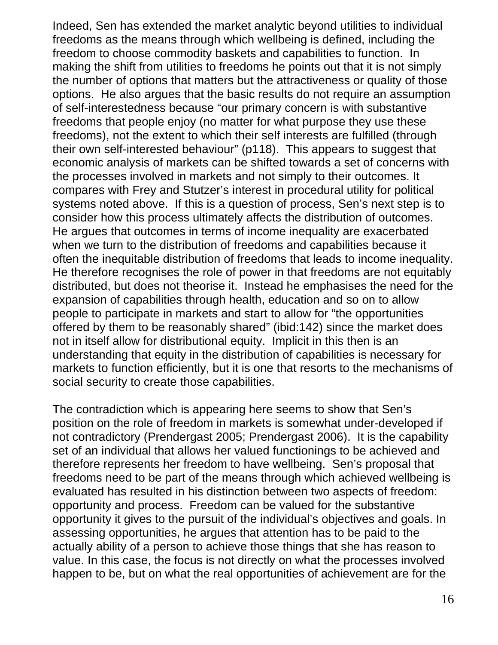Indeed, Sen has extended the market analytic beyond utilities to individual freedoms as the means through which wellbeing is defined, including the freedom to choose commodity baskets and capabilities to function. In making the shift from utilities to freedoms he points out that it is not simply the number of options that matters but the attractiveness or quality of those options. He also argues that the basic results do not require an assumption of self-interestedness because "our primary concern is with substantive freedoms that people enjoy (no matter for what purpose they use these freedoms), not the extent to which their self interests are fulfilled (through their own self-interested behaviour" (p118). This appears to suggest that economic analysis of markets can be shifted towards a set of concerns with the processes involved in markets and not simply to their outcomes. It compares with Frey and Stutzer's interest in procedural utility for political systems noted above. If this is a question of process, Sen's next step is to consider how this process ultimately affects the distribution of outcomes. He argues that outcomes in terms of income inequality are exacerbated when we turn to the distribution of freedoms and capabilities because it often the inequitable distribution of freedoms that leads to income inequality. He therefore recognises the role of power in that freedoms are not equitably distributed, but does not theorise it. Instead he emphasises the need for the expansion of capabilities through health, education and so on to allow people to participate in markets and start to allow for "the opportunities offered by them to be reasonably shared" (ibid:142) since the market does not in itself allow for distributional equity. Implicit in this then is an understanding that equity in the distribution of capabilities is necessary for markets to function efficiently, but it is one that resorts to the mechanisms of social security to create those capabilities.

The contradiction which is appearing here seems to show that Sen's position on the role of freedom in markets is somewhat under-developed if not contradictory (Prendergast 2005; Prendergast 2006). It is the capability set of an individual that allows her valued functionings to be achieved and therefore represents her freedom to have wellbeing. Sen's proposal that freedoms need to be part of the means through which achieved wellbeing is evaluated has resulted in his distinction between two aspects of freedom: opportunity and process. Freedom can be valued for the substantive opportunity it gives to the pursuit of the individual's objectives and goals. In assessing opportunities, he argues that attention has to be paid to the actually ability of a person to achieve those things that she has reason to value. In this case, the focus is not directly on what the processes involved happen to be, but on what the real opportunities of achievement are for the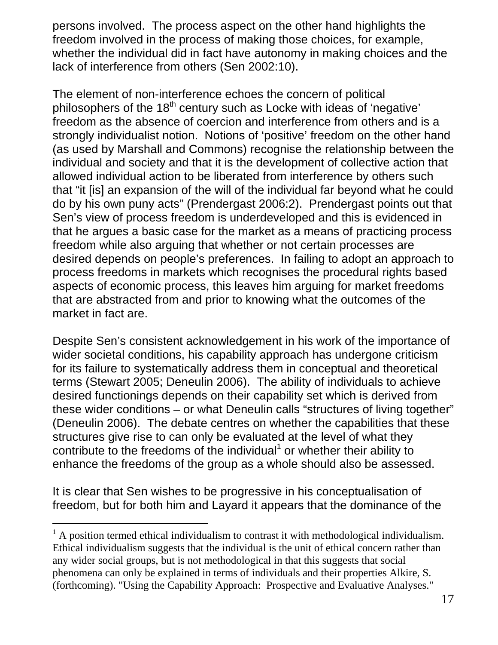persons involved. The process aspect on the other hand highlights the freedom involved in the process of making those choices, for example, whether the individual did in fact have autonomy in making choices and the lack of interference from others (Sen 2002:10).

The element of non-interference echoes the concern of political philosophers of the  $18<sup>th</sup>$  century such as Locke with ideas of 'negative' freedom as the absence of coercion and interference from others and is a strongly individualist notion. Notions of 'positive' freedom on the other hand (as used by Marshall and Commons) recognise the relationship between the individual and society and that it is the development of collective action that allowed individual action to be liberated from interference by others such that "it [is] an expansion of the will of the individual far beyond what he could do by his own puny acts" (Prendergast 2006:2). Prendergast points out that Sen's view of process freedom is underdeveloped and this is evidenced in that he argues a basic case for the market as a means of practicing process freedom while also arguing that whether or not certain processes are desired depends on people's preferences. In failing to adopt an approach to process freedoms in markets which recognises the procedural rights based aspects of economic process, this leaves him arguing for market freedoms that are abstracted from and prior to knowing what the outcomes of the market in fact are.

Despite Sen's consistent acknowledgement in his work of the importance of wider societal conditions, his capability approach has undergone criticism for its failure to systematically address them in conceptual and theoretical terms (Stewart 2005; Deneulin 2006). The ability of individuals to achieve desired functionings depends on their capability set which is derived from these wider conditions – or what Deneulin calls "structures of living together" (Deneulin 2006). The debate centres on whether the capabilities that these structures give rise to can only be evaluated at the level of what they contribute to the freedoms of the individual $1$  or whether their ability to enhance the freedoms of the group as a whole should also be assessed.

It is clear that Sen wishes to be progressive in his conceptualisation of freedom, but for both him and Layard it appears that the dominance of the

l

 $<sup>1</sup>$  A position termed ethical individualism to contrast it with methodological individualism.</sup> Ethical individualism suggests that the individual is the unit of ethical concern rather than any wider social groups, but is not methodological in that this suggests that social phenomena can only be explained in terms of individuals and their properties Alkire, S. (forthcoming). "Using the Capability Approach: Prospective and Evaluative Analyses."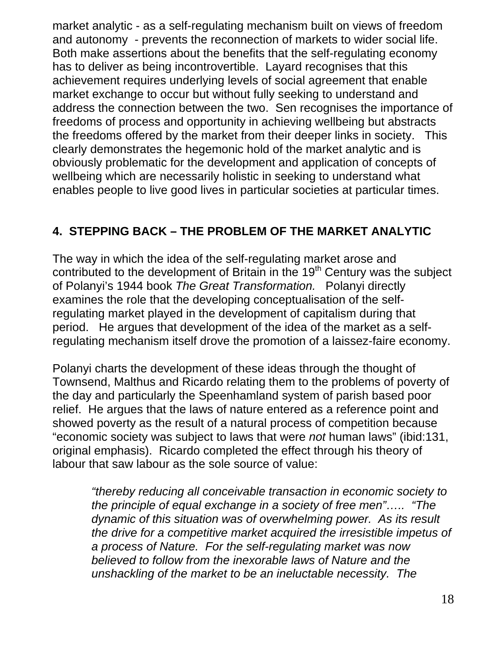market analytic - as a self-regulating mechanism built on views of freedom and autonomy - prevents the reconnection of markets to wider social life. Both make assertions about the benefits that the self-regulating economy has to deliver as being incontrovertible. Layard recognises that this achievement requires underlying levels of social agreement that enable market exchange to occur but without fully seeking to understand and address the connection between the two. Sen recognises the importance of freedoms of process and opportunity in achieving wellbeing but abstracts the freedoms offered by the market from their deeper links in society. This clearly demonstrates the hegemonic hold of the market analytic and is obviously problematic for the development and application of concepts of wellbeing which are necessarily holistic in seeking to understand what enables people to live good lives in particular societies at particular times.

# **4. STEPPING BACK – THE PROBLEM OF THE MARKET ANALYTIC**

The way in which the idea of the self-regulating market arose and contributed to the development of Britain in the 19<sup>th</sup> Century was the subject of Polanyi's 1944 book *The Great Transformation.* Polanyi directly examines the role that the developing conceptualisation of the selfregulating market played in the development of capitalism during that period. He argues that development of the idea of the market as a selfregulating mechanism itself drove the promotion of a laissez-faire economy.

Polanyi charts the development of these ideas through the thought of Townsend, Malthus and Ricardo relating them to the problems of poverty of the day and particularly the Speenhamland system of parish based poor relief. He argues that the laws of nature entered as a reference point and showed poverty as the result of a natural process of competition because "economic society was subject to laws that were *not* human laws" (ibid:131, original emphasis). Ricardo completed the effect through his theory of labour that saw labour as the sole source of value:

*"thereby reducing all conceivable transaction in economic society to the principle of equal exchange in a society of free men"….. "The dynamic of this situation was of overwhelming power. As its result the drive for a competitive market acquired the irresistible impetus of a process of Nature. For the self-regulating market was now believed to follow from the inexorable laws of Nature and the unshackling of the market to be an ineluctable necessity. The*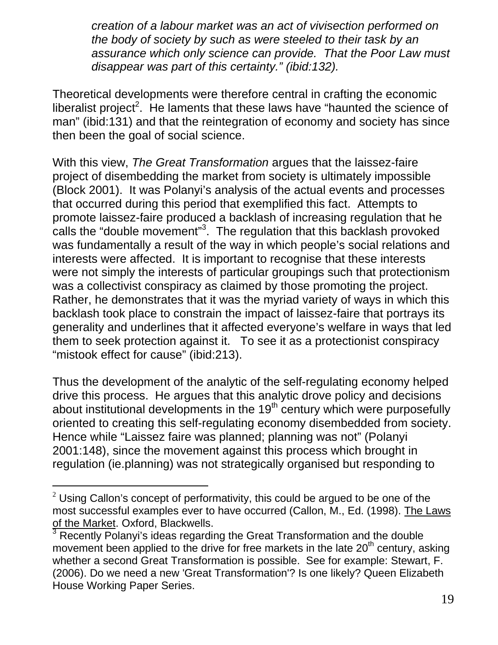*creation of a labour market was an act of vivisection performed on the body of society by such as were steeled to their task by an assurance which only science can provide. That the Poor Law must disappear was part of this certainty." (ibid:132).* 

Theoretical developments were therefore central in crafting the economic liberalist project<sup>2</sup>. He laments that these laws have "haunted the science of man" (ibid:131) and that the reintegration of economy and society has since then been the goal of social science.

With this view, *The Great Transformation* argues that the laissez-faire project of disembedding the market from society is ultimately impossible (Block 2001). It was Polanyi's analysis of the actual events and processes that occurred during this period that exemplified this fact. Attempts to promote laissez-faire produced a backlash of increasing regulation that he calls the "double movement"<sup>3</sup>. The regulation that this backlash provoked was fundamentally a result of the way in which people's social relations and interests were affected. It is important to recognise that these interests were not simply the interests of particular groupings such that protectionism was a collectivist conspiracy as claimed by those promoting the project. Rather, he demonstrates that it was the myriad variety of ways in which this backlash took place to constrain the impact of laissez-faire that portrays its generality and underlines that it affected everyone's welfare in ways that led them to seek protection against it. To see it as a protectionist conspiracy "mistook effect for cause" (ibid:213).

Thus the development of the analytic of the self-regulating economy helped drive this process. He argues that this analytic drove policy and decisions about institutional developments in the  $19<sup>th</sup>$  century which were purposefully oriented to creating this self-regulating economy disembedded from society. Hence while "Laissez faire was planned; planning was not" (Polanyi 2001:148), since the movement against this process which brought in regulation (ie.planning) was not strategically organised but responding to

l

 $2$  Using Callon's concept of performativity, this could be argued to be one of the most successful examples ever to have occurred (Callon, M., Ed. (1998). The Laws of the Market. Oxford, Blackwells.

<sup>3</sup> Recently Polanyi's ideas regarding the Great Transformation and the double movement been applied to the drive for free markets in the late  $20<sup>th</sup>$  century, asking whether a second Great Transformation is possible. See for example: Stewart, F. (2006). Do we need a new 'Great Transformation'? Is one likely? Queen Elizabeth House Working Paper Series.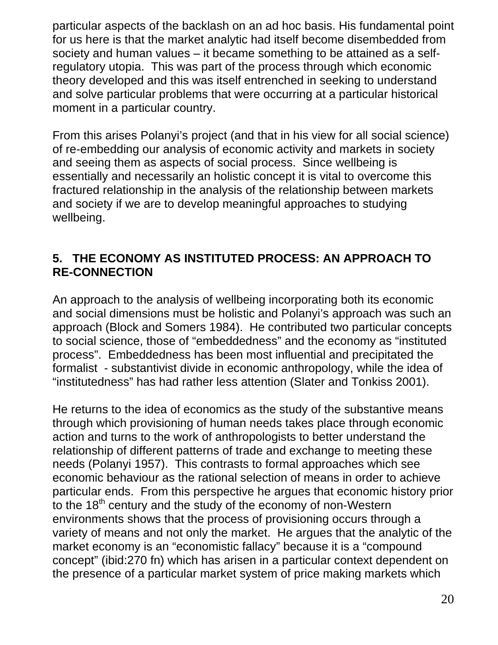particular aspects of the backlash on an ad hoc basis. His fundamental point for us here is that the market analytic had itself become disembedded from society and human values – it became something to be attained as a selfregulatory utopia. This was part of the process through which economic theory developed and this was itself entrenched in seeking to understand and solve particular problems that were occurring at a particular historical moment in a particular country.

From this arises Polanyi's project (and that in his view for all social science) of re-embedding our analysis of economic activity and markets in society and seeing them as aspects of social process. Since wellbeing is essentially and necessarily an holistic concept it is vital to overcome this fractured relationship in the analysis of the relationship between markets and society if we are to develop meaningful approaches to studying wellbeing.

## **5. THE ECONOMY AS INSTITUTED PROCESS: AN APPROACH TO RE-CONNECTION**

An approach to the analysis of wellbeing incorporating both its economic and social dimensions must be holistic and Polanyi's approach was such an approach (Block and Somers 1984). He contributed two particular concepts to social science, those of "embeddedness" and the economy as "instituted process". Embeddedness has been most influential and precipitated the formalist - substantivist divide in economic anthropology, while the idea of "institutedness" has had rather less attention (Slater and Tonkiss 2001).

He returns to the idea of economics as the study of the substantive means through which provisioning of human needs takes place through economic action and turns to the work of anthropologists to better understand the relationship of different patterns of trade and exchange to meeting these needs (Polanyi 1957). This contrasts to formal approaches which see economic behaviour as the rational selection of means in order to achieve particular ends. From this perspective he argues that economic history prior to the 18<sup>th</sup> century and the study of the economy of non-Western environments shows that the process of provisioning occurs through a variety of means and not only the market. He argues that the analytic of the market economy is an "economistic fallacy" because it is a "compound concept" (ibid:270 fn) which has arisen in a particular context dependent on the presence of a particular market system of price making markets which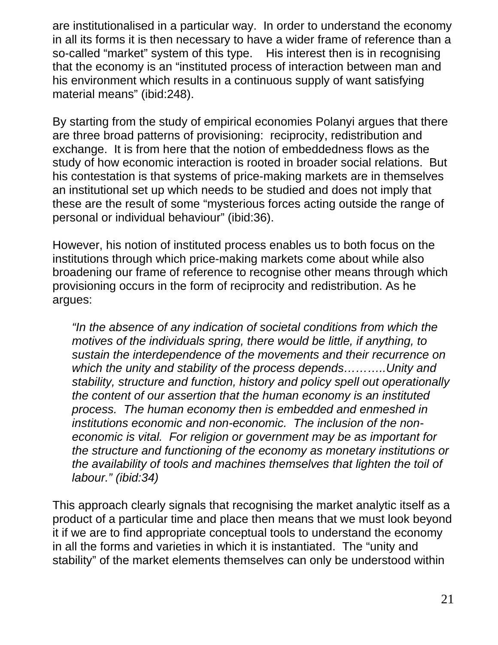are institutionalised in a particular way. In order to understand the economy in all its forms it is then necessary to have a wider frame of reference than a so-called "market" system of this type. His interest then is in recognising that the economy is an "instituted process of interaction between man and his environment which results in a continuous supply of want satisfying material means" (ibid:248).

By starting from the study of empirical economies Polanyi argues that there are three broad patterns of provisioning: reciprocity, redistribution and exchange. It is from here that the notion of embeddedness flows as the study of how economic interaction is rooted in broader social relations. But his contestation is that systems of price-making markets are in themselves an institutional set up which needs to be studied and does not imply that these are the result of some "mysterious forces acting outside the range of personal or individual behaviour" (ibid:36).

However, his notion of instituted process enables us to both focus on the institutions through which price-making markets come about while also broadening our frame of reference to recognise other means through which provisioning occurs in the form of reciprocity and redistribution. As he argues:

*"In the absence of any indication of societal conditions from which the motives of the individuals spring, there would be little, if anything, to sustain the interdependence of the movements and their recurrence on which the unity and stability of the process depends………..Unity and stability, structure and function, history and policy spell out operationally the content of our assertion that the human economy is an instituted process. The human economy then is embedded and enmeshed in institutions economic and non-economic. The inclusion of the noneconomic is vital. For religion or government may be as important for the structure and functioning of the economy as monetary institutions or the availability of tools and machines themselves that lighten the toil of labour." (ibid:34)* 

This approach clearly signals that recognising the market analytic itself as a product of a particular time and place then means that we must look beyond it if we are to find appropriate conceptual tools to understand the economy in all the forms and varieties in which it is instantiated. The "unity and stability" of the market elements themselves can only be understood within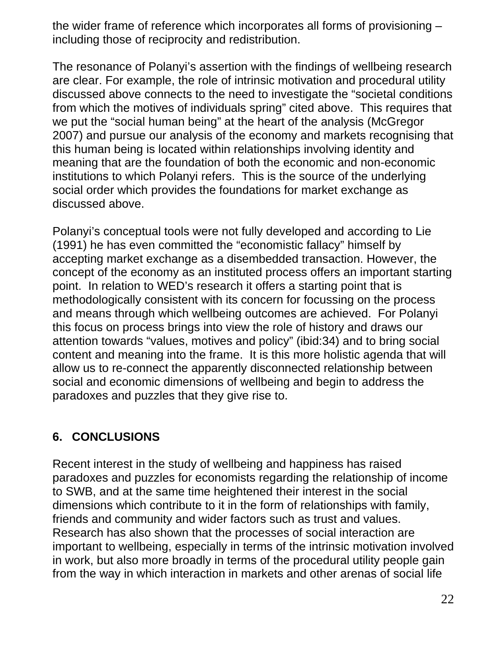the wider frame of reference which incorporates all forms of provisioning – including those of reciprocity and redistribution.

The resonance of Polanyi's assertion with the findings of wellbeing research are clear. For example, the role of intrinsic motivation and procedural utility discussed above connects to the need to investigate the "societal conditions from which the motives of individuals spring" cited above. This requires that we put the "social human being" at the heart of the analysis (McGregor 2007) and pursue our analysis of the economy and markets recognising that this human being is located within relationships involving identity and meaning that are the foundation of both the economic and non-economic institutions to which Polanyi refers. This is the source of the underlying social order which provides the foundations for market exchange as discussed above.

Polanyi's conceptual tools were not fully developed and according to Lie (1991) he has even committed the "economistic fallacy" himself by accepting market exchange as a disembedded transaction. However, the concept of the economy as an instituted process offers an important starting point. In relation to WED's research it offers a starting point that is methodologically consistent with its concern for focussing on the process and means through which wellbeing outcomes are achieved. For Polanyi this focus on process brings into view the role of history and draws our attention towards "values, motives and policy" (ibid:34) and to bring social content and meaning into the frame. It is this more holistic agenda that will allow us to re-connect the apparently disconnected relationship between social and economic dimensions of wellbeing and begin to address the paradoxes and puzzles that they give rise to.

## **6. CONCLUSIONS**

Recent interest in the study of wellbeing and happiness has raised paradoxes and puzzles for economists regarding the relationship of income to SWB, and at the same time heightened their interest in the social dimensions which contribute to it in the form of relationships with family, friends and community and wider factors such as trust and values. Research has also shown that the processes of social interaction are important to wellbeing, especially in terms of the intrinsic motivation involved in work, but also more broadly in terms of the procedural utility people gain from the way in which interaction in markets and other arenas of social life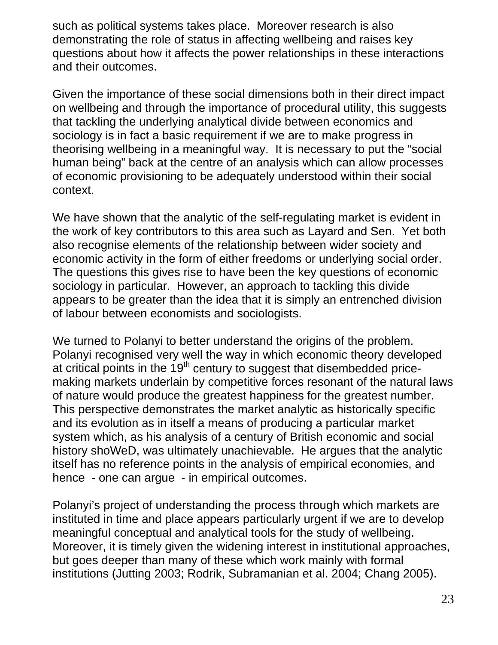such as political systems takes place. Moreover research is also demonstrating the role of status in affecting wellbeing and raises key questions about how it affects the power relationships in these interactions and their outcomes.

Given the importance of these social dimensions both in their direct impact on wellbeing and through the importance of procedural utility, this suggests that tackling the underlying analytical divide between economics and sociology is in fact a basic requirement if we are to make progress in theorising wellbeing in a meaningful way. It is necessary to put the "social human being" back at the centre of an analysis which can allow processes of economic provisioning to be adequately understood within their social context.

We have shown that the analytic of the self-regulating market is evident in the work of key contributors to this area such as Layard and Sen. Yet both also recognise elements of the relationship between wider society and economic activity in the form of either freedoms or underlying social order. The questions this gives rise to have been the key questions of economic sociology in particular. However, an approach to tackling this divide appears to be greater than the idea that it is simply an entrenched division of labour between economists and sociologists.

We turned to Polanyi to better understand the origins of the problem. Polanyi recognised very well the way in which economic theory developed at critical points in the  $19<sup>th</sup>$  century to suggest that disembedded pricemaking markets underlain by competitive forces resonant of the natural laws of nature would produce the greatest happiness for the greatest number. This perspective demonstrates the market analytic as historically specific and its evolution as in itself a means of producing a particular market system which, as his analysis of a century of British economic and social history shoWeD, was ultimately unachievable. He argues that the analytic itself has no reference points in the analysis of empirical economies, and hence - one can argue - in empirical outcomes.

Polanyi's project of understanding the process through which markets are instituted in time and place appears particularly urgent if we are to develop meaningful conceptual and analytical tools for the study of wellbeing. Moreover, it is timely given the widening interest in institutional approaches, but goes deeper than many of these which work mainly with formal institutions (Jutting 2003; Rodrik, Subramanian et al. 2004; Chang 2005).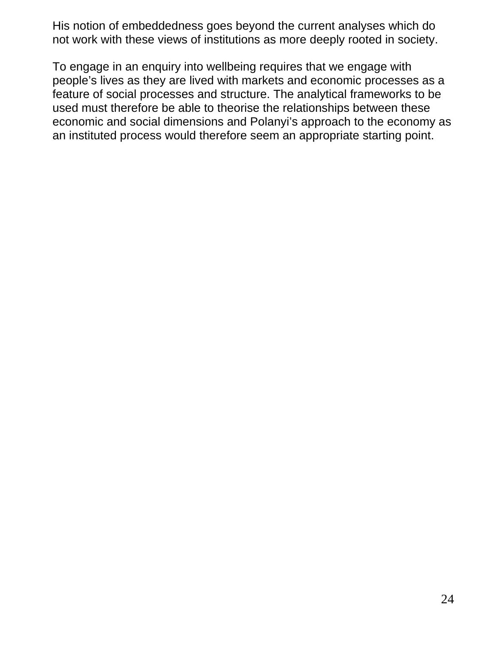His notion of embeddedness goes beyond the current analyses which do not work with these views of institutions as more deeply rooted in society.

To engage in an enquiry into wellbeing requires that we engage with people's lives as they are lived with markets and economic processes as a feature of social processes and structure. The analytical frameworks to be used must therefore be able to theorise the relationships between these economic and social dimensions and Polanyi's approach to the economy as an instituted process would therefore seem an appropriate starting point.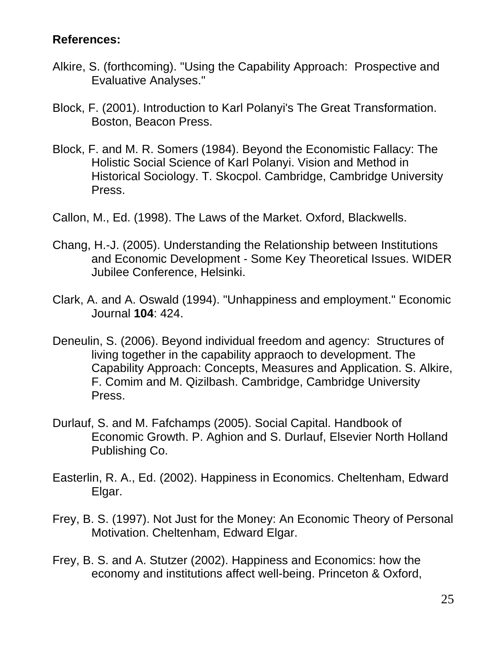#### **References:**

- Alkire, S. (forthcoming). "Using the Capability Approach: Prospective and Evaluative Analyses."
- Block, F. (2001). Introduction to Karl Polanyi's The Great Transformation. Boston, Beacon Press.
- Block, F. and M. R. Somers (1984). Beyond the Economistic Fallacy: The Holistic Social Science of Karl Polanyi. Vision and Method in Historical Sociology. T. Skocpol. Cambridge, Cambridge University Press.
- Callon, M., Ed. (1998). The Laws of the Market. Oxford, Blackwells.
- Chang, H.-J. (2005). Understanding the Relationship between Institutions and Economic Development - Some Key Theoretical Issues. WIDER Jubilee Conference, Helsinki.
- Clark, A. and A. Oswald (1994). "Unhappiness and employment." Economic Journal **104**: 424.
- Deneulin, S. (2006). Beyond individual freedom and agency: Structures of living together in the capability appraoch to development. The Capability Approach: Concepts, Measures and Application. S. Alkire, F. Comim and M. Qizilbash. Cambridge, Cambridge University Press.
- Durlauf, S. and M. Fafchamps (2005). Social Capital. Handbook of Economic Growth. P. Aghion and S. Durlauf, Elsevier North Holland Publishing Co.
- Easterlin, R. A., Ed. (2002). Happiness in Economics. Cheltenham, Edward Elgar.
- Frey, B. S. (1997). Not Just for the Money: An Economic Theory of Personal Motivation. Cheltenham, Edward Elgar.
- Frey, B. S. and A. Stutzer (2002). Happiness and Economics: how the economy and institutions affect well-being. Princeton & Oxford,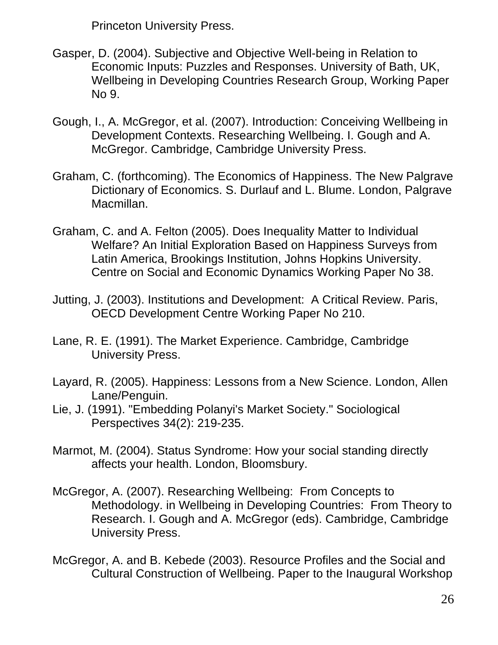Princeton University Press.

- Gasper, D. (2004). Subjective and Objective Well-being in Relation to Economic Inputs: Puzzles and Responses. University of Bath, UK, Wellbeing in Developing Countries Research Group, Working Paper No 9.
- Gough, I., A. McGregor, et al. (2007). Introduction: Conceiving Wellbeing in Development Contexts. Researching Wellbeing. I. Gough and A. McGregor. Cambridge, Cambridge University Press.
- Graham, C. (forthcoming). The Economics of Happiness. The New Palgrave Dictionary of Economics. S. Durlauf and L. Blume. London, Palgrave Macmillan.
- Graham, C. and A. Felton (2005). Does Inequality Matter to Individual Welfare? An Initial Exploration Based on Happiness Surveys from Latin America, Brookings Institution, Johns Hopkins University. Centre on Social and Economic Dynamics Working Paper No 38.
- Jutting, J. (2003). Institutions and Development: A Critical Review. Paris, OECD Development Centre Working Paper No 210.
- Lane, R. E. (1991). The Market Experience. Cambridge, Cambridge University Press.
- Layard, R. (2005). Happiness: Lessons from a New Science. London, Allen Lane/Penguin.
- Lie, J. (1991). "Embedding Polanyi's Market Society." Sociological Perspectives 34(2): 219-235.
- Marmot, M. (2004). Status Syndrome: How your social standing directly affects your health. London, Bloomsbury.
- McGregor, A. (2007). Researching Wellbeing: From Concepts to Methodology. in Wellbeing in Developing Countries: From Theory to Research. I. Gough and A. McGregor (eds). Cambridge, Cambridge University Press.
- McGregor, A. and B. Kebede (2003). Resource Profiles and the Social and Cultural Construction of Wellbeing. Paper to the Inaugural Workshop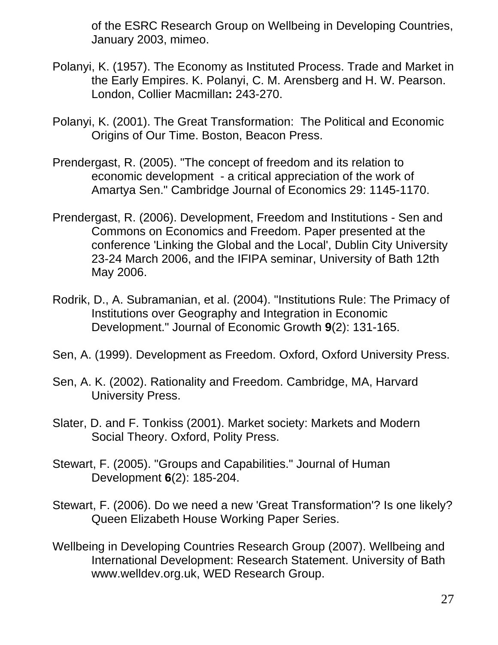of the ESRC Research Group on Wellbeing in Developing Countries, January 2003, mimeo.

- Polanyi, K. (1957). The Economy as Instituted Process. Trade and Market in the Early Empires. K. Polanyi, C. M. Arensberg and H. W. Pearson. London, Collier Macmillan**:** 243-270.
- Polanyi, K. (2001). The Great Transformation: The Political and Economic Origins of Our Time. Boston, Beacon Press.
- Prendergast, R. (2005). "The concept of freedom and its relation to economic development - a critical appreciation of the work of Amartya Sen." Cambridge Journal of Economics 29: 1145-1170.
- Prendergast, R. (2006). Development, Freedom and Institutions Sen and Commons on Economics and Freedom. Paper presented at the conference 'Linking the Global and the Local', Dublin City University 23-24 March 2006, and the IFIPA seminar, University of Bath 12th May 2006.
- Rodrik, D., A. Subramanian, et al. (2004). "Institutions Rule: The Primacy of Institutions over Geography and Integration in Economic Development." Journal of Economic Growth **9**(2): 131-165.
- Sen, A. (1999). Development as Freedom. Oxford, Oxford University Press.
- Sen, A. K. (2002). Rationality and Freedom. Cambridge, MA, Harvard University Press.
- Slater, D. and F. Tonkiss (2001). Market society: Markets and Modern Social Theory. Oxford, Polity Press.
- Stewart, F. (2005). "Groups and Capabilities." Journal of Human Development **6**(2): 185-204.
- Stewart, F. (2006). Do we need a new 'Great Transformation'? Is one likely? Queen Elizabeth House Working Paper Series.
- Wellbeing in Developing Countries Research Group (2007). Wellbeing and International Development: Research Statement. University of Bath www.welldev.org.uk, WED Research Group.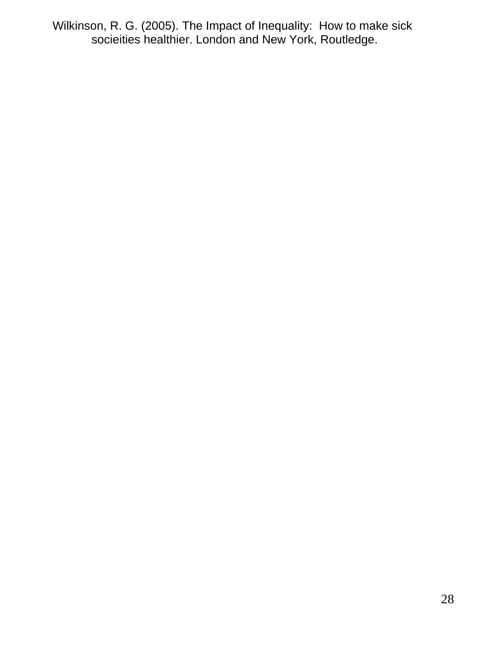Wilkinson, R. G. (2005). The Impact of Inequality: How to make sick socieities healthier. London and New York, Routledge.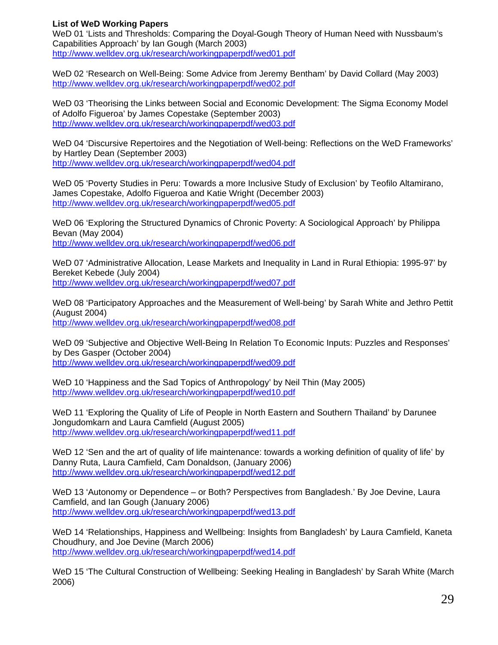#### **List of WeD Working Papers**

WeD 01 'Lists and Thresholds: Comparing the Doyal-Gough Theory of Human Need with Nussbaum's Capabilities Approach' by Ian Gough (March 2003) http://www.welldev.org.uk/research/workingpaperpdf/wed01.pdf

WeD 02 'Research on Well-Being: Some Advice from Jeremy Bentham' by David Collard (May 2003) http://www.welldev.org.uk/research/workingpaperpdf/wed02.pdf

WeD 03 'Theorising the Links between Social and Economic Development: The Sigma Economy Model of Adolfo Figueroa' by James Copestake (September 2003) http://www.welldev.org.uk/research/workingpaperpdf/wed03.pdf

WeD 04 'Discursive Repertoires and the Negotiation of Well-being: Reflections on the WeD Frameworks' by Hartley Dean (September 2003) http://www.welldev.org.uk/research/workingpaperpdf/wed04.pdf

WeD 05 'Poverty Studies in Peru: Towards a more Inclusive Study of Exclusion' by Teofilo Altamirano, James Copestake, Adolfo Figueroa and Katie Wright (December 2003) http://www.welldev.org.uk/research/workingpaperpdf/wed05.pdf

WeD 06 'Exploring the Structured Dynamics of Chronic Poverty: A Sociological Approach' by Philippa Bevan (May 2004) http://www.welldev.org.uk/research/workingpaperpdf/wed06.pdf

WeD 07 'Administrative Allocation, Lease Markets and Inequality in Land in Rural Ethiopia: 1995-97' by Bereket Kebede (July 2004) http://www.welldev.org.uk/research/workingpaperpdf/wed07.pdf

WeD 08 'Participatory Approaches and the Measurement of Well-being' by Sarah White and Jethro Pettit (August 2004) http://www.welldev.org.uk/research/workingpaperpdf/wed08.pdf

WeD 09 'Subjective and Objective Well-Being In Relation To Economic Inputs: Puzzles and Responses' by Des Gasper (October 2004) http://www.welldev.org.uk/research/workingpaperpdf/wed09.pdf

WeD 10 'Happiness and the Sad Topics of Anthropology' by Neil Thin (May 2005) http://www.welldev.org.uk/research/workingpaperpdf/wed10.pdf

WeD 11 'Exploring the Quality of Life of People in North Eastern and Southern Thailand' by Darunee Jongudomkarn and Laura Camfield (August 2005) http://www.welldev.org.uk/research/workingpaperpdf/wed11.pdf

WeD 12 'Sen and the art of quality of life maintenance: towards a working definition of quality of life' by Danny Ruta, Laura Camfield, Cam Donaldson, (January 2006) http://www.welldev.org.uk/research/workingpaperpdf/wed12.pdf

WeD 13 'Autonomy or Dependence – or Both? Perspectives from Bangladesh.' By Joe Devine, Laura Camfield, and Ian Gough (January 2006) http://www.welldev.org.uk/research/workingpaperpdf/wed13.pdf

WeD 14 'Relationships, Happiness and Wellbeing: Insights from Bangladesh' by Laura Camfield, Kaneta Choudhury, and Joe Devine (March 2006) http://www.welldev.org.uk/research/workingpaperpdf/wed14.pdf

WeD 15 'The Cultural Construction of Wellbeing: Seeking Healing in Bangladesh' by Sarah White (March 2006)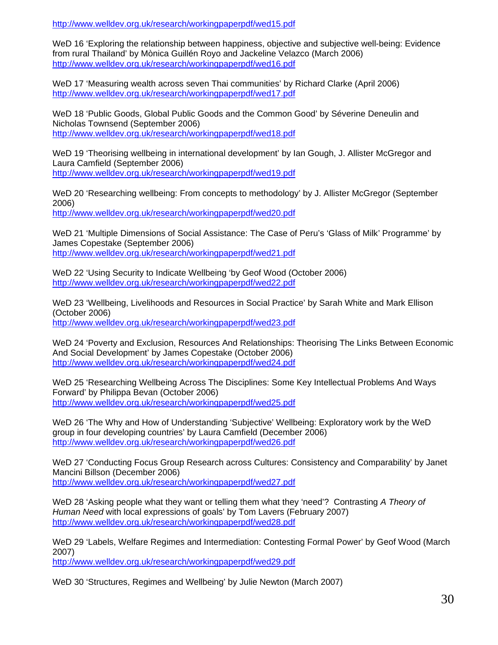http://www.welldev.org.uk/research/workingpaperpdf/wed15.pdf

WeD 16 'Exploring the relationship between happiness, objective and subjective well-being: Evidence from rural Thailand' by Mònica Guillén Royo and Jackeline Velazco (March 2006) http://www.welldev.org.uk/research/workingpaperpdf/wed16.pdf

WeD 17 'Measuring wealth across seven Thai communities' by Richard Clarke (April 2006) http://www.welldev.org.uk/research/workingpaperpdf/wed17.pdf

WeD 18 'Public Goods, Global Public Goods and the Common Good' by Séverine Deneulin and Nicholas Townsend (September 2006) http://www.welldev.org.uk/research/workingpaperpdf/wed18.pdf

WeD 19 'Theorising wellbeing in international development' by Ian Gough, J. Allister McGregor and Laura Camfield (September 2006) http://www.welldev.org.uk/research/workingpaperpdf/wed19.pdf

WeD 20 'Researching wellbeing: From concepts to methodology' by J. Allister McGregor (September 2006)

http://www.welldev.org.uk/research/workingpaperpdf/wed20.pdf

WeD 21 'Multiple Dimensions of Social Assistance: The Case of Peru's 'Glass of Milk' Programme' by James Copestake (September 2006) http://www.welldev.org.uk/research/workingpaperpdf/wed21.pdf

WeD 22 'Using Security to Indicate Wellbeing 'by Geof Wood (October 2006) http://www.welldev.org.uk/research/workingpaperpdf/wed22.pdf

WeD 23 'Wellbeing, Livelihoods and Resources in Social Practice' by Sarah White and Mark Ellison (October 2006) http://www.welldev.org.uk/research/workingpaperpdf/wed23.pdf

WeD 24 'Poverty and Exclusion, Resources And Relationships: Theorising The Links Between Economic And Social Development' by James Copestake (October 2006) http://www.welldev.org.uk/research/workingpaperpdf/wed24.pdf

WeD 25 'Researching Wellbeing Across The Disciplines: Some Key Intellectual Problems And Ways Forward' by Philippa Bevan (October 2006) http://www.welldev.org.uk/research/workingpaperpdf/wed25.pdf

WeD 26 'The Why and How of Understanding 'Subjective' Wellbeing: Exploratory work by the WeD group in four developing countries' by Laura Camfield (December 2006) http://www.welldev.org.uk/research/workingpaperpdf/wed26.pdf

WeD 27 'Conducting Focus Group Research across Cultures: Consistency and Comparability' by Janet Mancini Billson (December 2006) http://www.welldev.org.uk/research/workingpaperpdf/wed27.pdf

WeD 28 'Asking people what they want or telling them what they 'need'? Contrasting *A Theory of Human Need* with local expressions of goals' by Tom Lavers (February 2007) http://www.welldev.org.uk/research/workingpaperpdf/wed28.pdf

WeD 29 'Labels, Welfare Regimes and Intermediation: Contesting Formal Power' by Geof Wood (March 2007)

http://www.welldev.org.uk/research/workingpaperpdf/wed29.pdf

WeD 30 'Structures, Regimes and Wellbeing' by Julie Newton (March 2007)